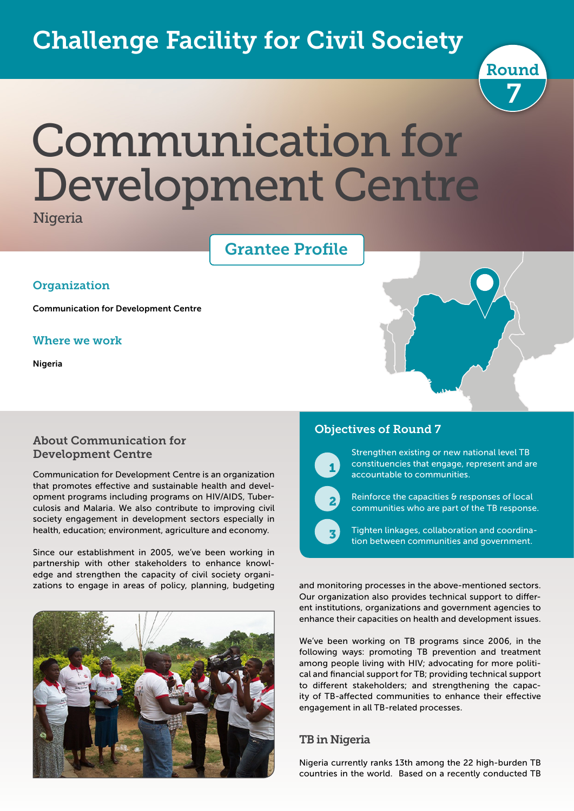# Challenge Facility for Civil Society



# Communication for Development Centre

Nigeria

## Grantee Profile

#### **Organization**

Communication for Development Centre

#### Where we work

Nigeria

#### About Communication for Development Centre

Communication for Development Centre is an organization that promotes effective and sustainable health and development programs including programs on HIV/AIDS, Tuberculosis and Malaria. We also contribute to improving civil society engagement in development sectors especially in health, education; environment, agriculture and economy.

Since our establishment in 2005, we've been working in partnership with other stakeholders to enhance knowledge and strengthen the capacity of civil society organizations to engage in areas of policy, planning, budgeting



#### Objectives of Round 7



 $\overline{\phantom{a}}$ 

Strengthen existing or new national level TB constituencies that engage, represent and are accountable to communities.

Reinforce the capacities & responses of local communities who are part of the TB response.

Tighten linkages, collaboration and coordination between communities and government.

and monitoring processes in the above-mentioned sectors. Our organization also provides technical support to different institutions, organizations and government agencies to enhance their capacities on health and development issues.

We've been working on TB programs since 2006, in the following ways: promoting TB prevention and treatment among people living with HIV; advocating for more political and financial support for TB; providing technical support to different stakeholders; and strengthening the capacity of TB-affected communities to enhance their effective engagement in all TB-related processes.

#### TB in Nigeria

Nigeria currently ranks 13th among the 22 high-burden TB countries in the world. Based on a recently conducted TB